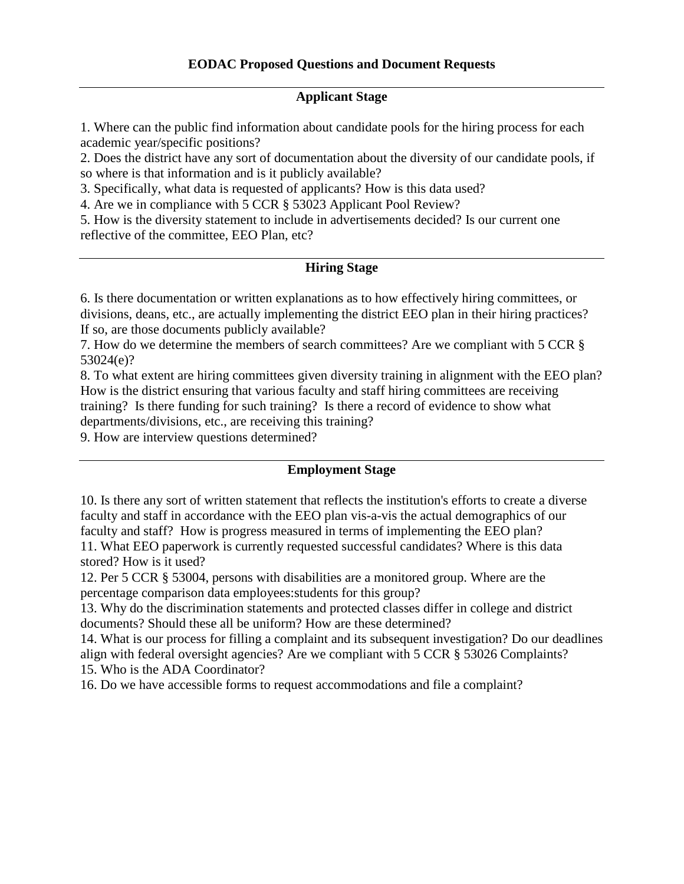#### **Applicant Stage**

 academic year/specific positions? 1. Where can the public find information about candidate pools for the hiring process for each

 so where is that information and is it publicly available? 2. Does the district have any sort of documentation about the diversity of our candidate pools, if

3. Specifically, what data is requested of applicants? How is this data used?

4. Are we in compliance with 5 CCR § 53023 Applicant Pool Review?

5. How is the diversity statement to include in advertisements decided? Is our current one reflective of the committee, EEO Plan, etc?

#### **Hiring Stage**

divisions, deans, etc., are actually implementing the district EEO plan in their hiring practices? If so, are those documents publicly available? 6. Is there documentation or written explanations as to how effectively hiring committees, or

7. How do we determine the members of search committees? Are we compliant with 5 CCR § 53024(e)?

 8. To what extent are hiring committees given diversity training in alignment with the EEO plan? training? Is there funding for such training? Is there a record of evidence to show what How is the district ensuring that various faculty and staff hiring committees are receiving departments/divisions, etc., are receiving this training?

9. How are interview questions determined?

#### **Employment Stage**

 10. Is there any sort of written statement that reflects the institution's efforts to create a diverse faculty and staff? How is progress measured in terms of implementing the EEO plan? faculty and staff in accordance with the EEO plan vis-a-vis the actual demographics of our 11. What EEO paperwork is currently requested successful candidates? Where is this data stored? How is it used?

percentage comparison data employees: students for this group? 12. Per 5 CCR § 53004, persons with disabilities are a monitored group. Where are the

 documents? Should these all be uniform? How are these determined? 13. Why do the discrimination statements and protected classes differ in college and district

14. What is our process for filling a complaint and its subsequent investigation? Do our deadlines align with federal oversight agencies? Are we compliant with 5 CCR § 53026 Complaints?

15. Who is the ADA Coordinator?

15. Who is the ADA Coordinator? 16. Do we have accessible forms to request accommodations and file a complaint?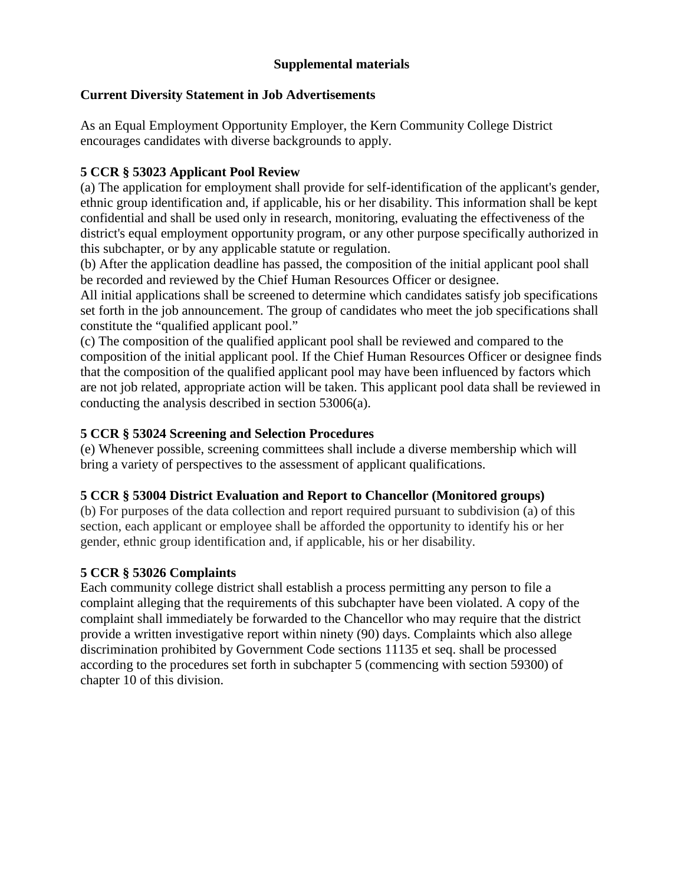## **Supplemental materials**

#### **Current Diversity Statement in Job Advertisements**

As an Equal Employment Opportunity Employer, the Kern Community College District encourages candidates with diverse backgrounds to apply.

# **5 CCR § 53023 Applicant Pool Review**

(a) The application for employment shall provide for self-identification of the applicant's gender, ethnic group identification and, if applicable, his or her disability. This information shall be kept confidential and shall be used only in research, monitoring, evaluating the effectiveness of the district's equal employment opportunity program, or any other purpose specifically authorized in this subchapter, or by any applicable statute or regulation.

(b) After the application deadline has passed, the composition of the initial applicant pool shall be recorded and reviewed by the Chief Human Resources Officer or designee.

All initial applications shall be screened to determine which candidates satisfy job specifications set forth in the job announcement. The group of candidates who meet the job specifications shall constitute the "qualified applicant pool."

 composition of the initial applicant pool. If the Chief Human Resources Officer or designee finds (c) The composition of the qualified applicant pool shall be reviewed and compared to the that the composition of the qualified applicant pool may have been influenced by factors which are not job related, appropriate action will be taken. This applicant pool data shall be reviewed in conducting the analysis described in section 53006(a).

## **5 CCR § 53024 Screening and Selection Procedures**

(e) Whenever possible, screening committees shall include a diverse membership which will bring a variety of perspectives to the assessment of applicant qualifications.

#### **5 CCR § 53004 District Evaluation and Report to Chancellor (Monitored groups)**

(b) For purposes of the data collection and report required pursuant to subdivision (a) of this section, each applicant or employee shall be afforded the opportunity to identify his or her gender, ethnic group identification and, if applicable, his or her disability.

#### **5 CCR § 53026 Complaints**

 Each community college district shall establish a process permitting any person to file a complaint alleging that the requirements of this subchapter have been violated. A copy of the complaint shall immediately be forwarded to the Chancellor who may require that the district provide a written investigative report within ninety (90) days. Complaints which also allege discrimination prohibited by Government Code sections 11135 et seq. shall be processed according to the procedures set forth in subchapter 5 (commencing with section 59300) of chapter 10 of this division.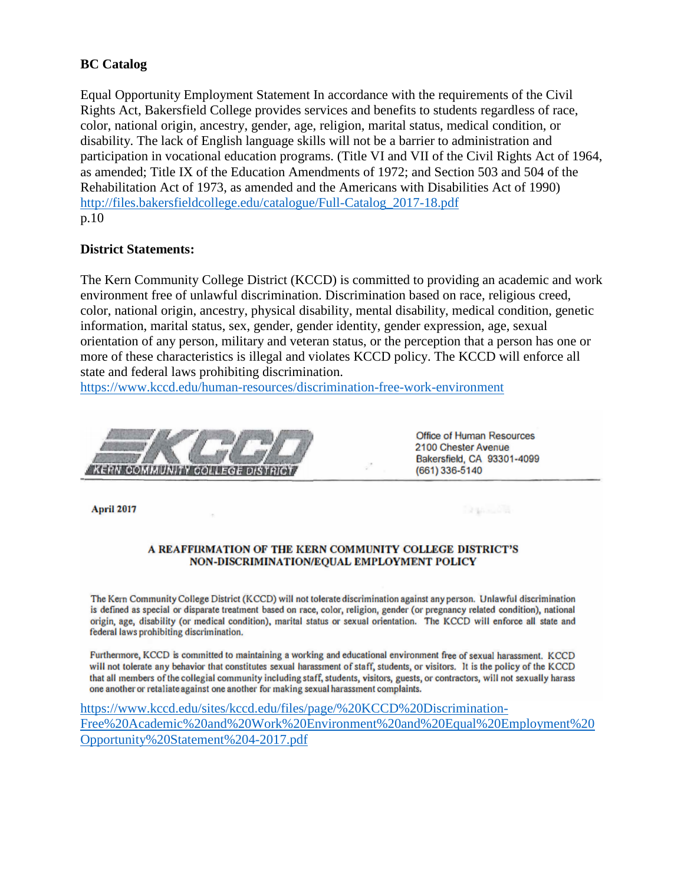#### **BC** Catalog

Equal Opportunity Employment Statement In accordance with the requirements of the Civil Rights Act, Bakersfield College provides services and benefits to students regardless of race, color, national origin, ancestry, gender, age, religion, marital status, medical condition, or disability. The lack of English language skills will not be a barrier to administration and participation in vocational education programs. (Title VI and VII of the Civil Rights Act of 1964, as amended; Title IX of the Education Amendments of 1972; and Section 503 and 504 of the Rehabilitation Act of 1973, as amended and the Americans with Disabilities Act of 1990) http://files.bakersfieldcollege.edu/catalogue/Full-Catalog\_2017-18.pdf  $p.10$ 

#### **District Statements:**

The Kern Community College District (KCCD) is committed to providing an academic and work environment free of unlawful discrimination. Discrimination based on race, religious creed, color, national origin, ancestry, physical disability, mental disability, medical condition, genetic information, marital status, sex, gender, gender identity, gender expression, age, sexual orientation of any person, military and veteran status, or the perception that a person has one or more of these characteristics is illegal and violates KCCD policy. The KCCD will enforce all state and federal laws prohibiting discrimination.

https://www.kccd.edu/human-resources/discrimination-free-work-environment



Office of Human Resources 2100 Chester Avenue Bakersfield, CA 93301-4099 (661) 336-5140

**Branco** B

April 2017

#### A REAFFIRMATION OF THE KERN COMMUNITY COLLEGE DISTRICT'S NON-DISCRIMINATION/EQUAL EMPLOYMENT POLICY

The Kern Community College District (KCCD) will not tolerate discrimination against any person. Unlawful discrimination is defined as special or disparate treatment based on race, color, religion, gender (or pregnancy related condition), national origin, age, disability (or medical condition), marital status or sexual orientation. The KCCD will enforce all state and federal laws prohibiting discrimination.

Furthermore, KCCD is committed to maintaining a working and educational environment free of sexual harassment. KCCD will not tolerate any behavior that constitutes sexual harassment of staff, students, or visitors. It is the policy of the KCCD that all members of the collegial community including staff, students, visitors, guests, or contractors, will not sexually harass one another or retaliate against one another for making sexual harassment complaints.

https://www.kccd.edu/sites/kccd.edu/files/page/%20KCCD%20Discrimination-Free%20Academic%20and%20Work%20Environment%20and%20Equal%20Employment%20 Opportunity%20Statement%204-2017.pdf